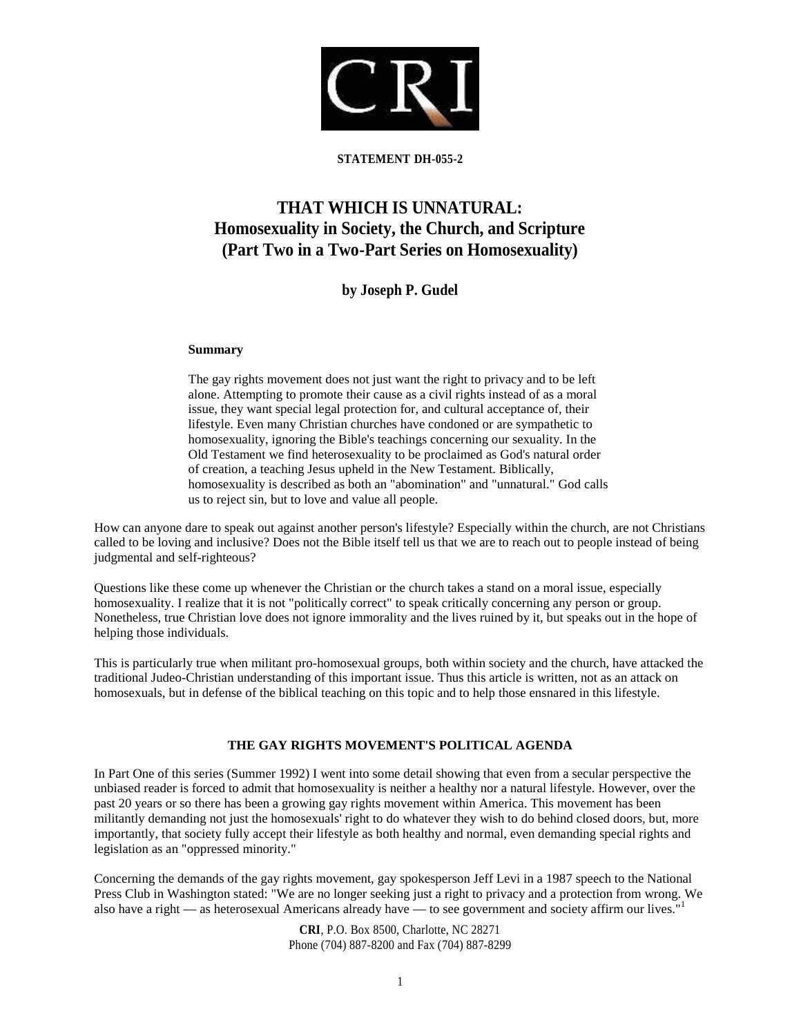

# **STATEMENT DH-055-2**

# **THAT WHICH IS UNNATURAL: Homosexuality in Society, the Church, and Scripture (Part Two in a Two-Part Series on Homosexuality)**

# **by Joseph P. Gudel**

## **Summary**

The gay rights movement does not just want the right to privacy and to be left alone. Attempting to promote their cause as a civil rights instead of as a moral issue, they want special legal protection for, and cultural acceptance of, their lifestyle. Even many Christian churches have condoned or are sympathetic to homosexuality, ignoring the Bible's teachings concerning our sexuality. In the Old Testament we find heterosexuality to be proclaimed as God's natural order of creation, a teaching Jesus upheld in the New Testament. Biblically, homosexuality is described as both an "abomination" and "unnatural." God calls us to reject sin, but to love and value all people.

How can anyone dare to speak out against another person's lifestyle? Especially within the church, are not Christians called to be loving and inclusive? Does not the Bible itself tell us that we are to reach out to people instead of being judgmental and self-righteous?

Questions like these come up whenever the Christian or the church takes a stand on a moral issue, especially homosexuality. I realize that it is not "politically correct" to speak critically concerning any person or group. Nonetheless, true Christian love does not ignore immorality and the lives ruined by it, but speaks out in the hope of helping those individuals.

This is particularly true when militant pro-homosexual groups, both within society and the church, have attacked the traditional Judeo-Christian understanding of this important issue. Thus this article is written, not as an attack on homosexuals, but in defense of the biblical teaching on this topic and to help those ensnared in this lifestyle.

# **THE GAY RIGHTS MOVEMENT'S POLITICAL AGENDA**

In Part One of this series (Summer 1992) I went into some detail showing that even from a secular perspective the unbiased reader is forced to admit that homosexuality is neither a healthy nor a natural lifestyle. However, over the past 20 years or so there has been a growing gay rights movement within America. This movement has been militantly demanding not just the homosexuals' right to do whatever they wish to do behind closed doors, but, more importantly, that society fully accept their lifestyle as both healthy and normal, even demanding special rights and legislation as an "oppressed minority."

Concerning the demands of the gay rights movement, gay spokesperson Jeff Levi in a 1987 speech to the National Press Club in Washington stated: "We are no longer seeking just a right to privacy and a protection from wrong. We also have a right — as heterosexual Americans already have — to see government and society affirm our lives."<sup>1</sup>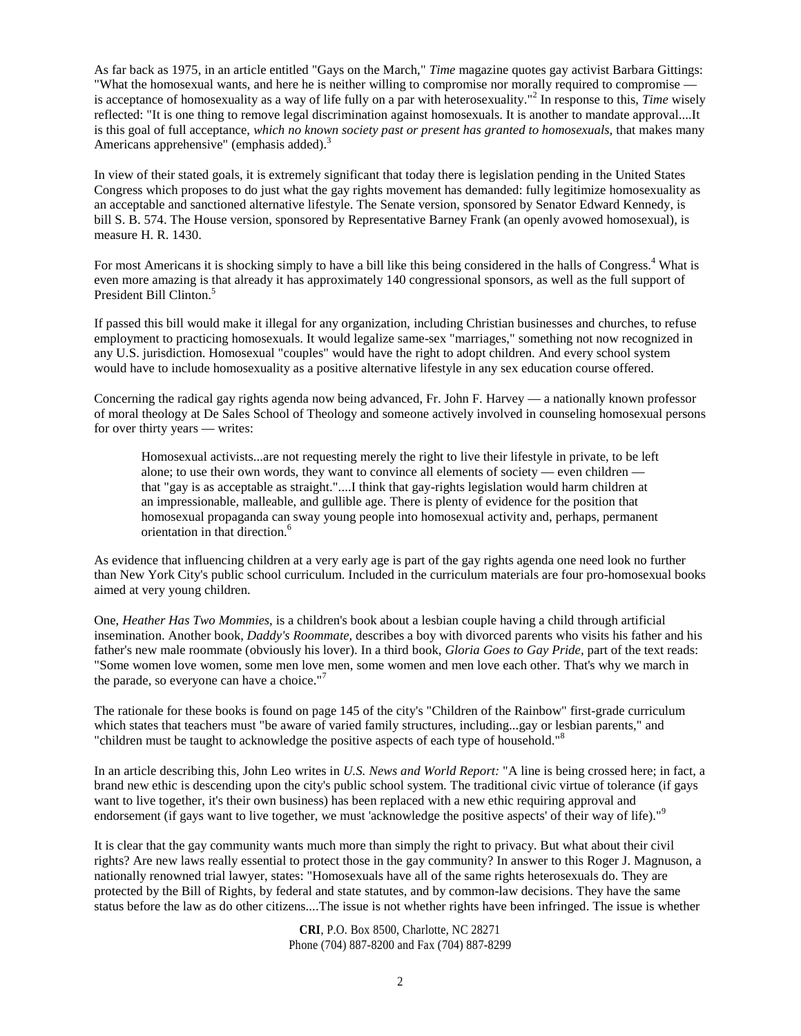As far back as 1975, in an article entitled "Gays on the March," *Time* magazine quotes gay activist Barbara Gittings: "What the homosexual wants, and here he is neither willing to compromise nor morally required to compromise is acceptance of homosexuality as a way of life fully on a par with heterosexuality."<sup>2</sup> In response to this, *Time* wisely reflected: "It is one thing to remove legal discrimination against homosexuals. It is another to mandate approval....It is this goal of full acceptance, *which no known society past or present has granted to homosexuals,* that makes many Americans apprehensive" (emphasis added).<sup>3</sup>

In view of their stated goals, it is extremely significant that today there is legislation pending in the United States Congress which proposes to do just what the gay rights movement has demanded: fully legitimize homosexuality as an acceptable and sanctioned alternative lifestyle. The Senate version, sponsored by Senator Edward Kennedy, is bill S. B. 574. The House version, sponsored by Representative Barney Frank (an openly avowed homosexual), is measure H. R. 1430.

For most Americans it is shocking simply to have a bill like this being considered in the halls of Congress.<sup>4</sup> What is even more amazing is that already it has approximately 140 congressional sponsors, as well as the full support of President Bill Clinton.<sup>5</sup>

If passed this bill would make it illegal for any organization, including Christian businesses and churches, to refuse employment to practicing homosexuals. It would legalize same-sex "marriages," something not now recognized in any U.S. jurisdiction. Homosexual "couples" would have the right to adopt children. And every school system would have to include homosexuality as a positive alternative lifestyle in any sex education course offered.

Concerning the radical gay rights agenda now being advanced, Fr. John F. Harvey — a nationally known professor of moral theology at De Sales School of Theology and someone actively involved in counseling homosexual persons for over thirty years — writes:

Homosexual activists...are not requesting merely the right to live their lifestyle in private, to be left alone; to use their own words, they want to convince all elements of society — even children that "gay is as acceptable as straight."....I think that gay-rights legislation would harm children at an impressionable, malleable, and gullible age. There is plenty of evidence for the position that homosexual propaganda can sway young people into homosexual activity and, perhaps, permanent orientation in that direction.<sup>6</sup>

As evidence that influencing children at a very early age is part of the gay rights agenda one need look no further than New York City's public school curriculum. Included in the curriculum materials are four pro-homosexual books aimed at very young children.

One, *Heather Has Two Mommies,* is a children's book about a lesbian couple having a child through artificial insemination. Another book, *Daddy's Roommate,* describes a boy with divorced parents who visits his father and his father's new male roommate (obviously his lover). In a third book, *Gloria Goes to Gay Pride,* part of the text reads: "Some women love women, some men love men, some women and men love each other. That's why we march in the parade, so everyone can have a choice."<sup>7</sup>

The rationale for these books is found on page 145 of the city's "Children of the Rainbow" first-grade curriculum which states that teachers must "be aware of varied family structures, including...gay or lesbian parents," and "children must be taught to acknowledge the positive aspects of each type of household."<sup>8</sup>

In an article describing this, John Leo writes in *U.S. News and World Report:* "A line is being crossed here; in fact, a brand new ethic is descending upon the city's public school system. The traditional civic virtue of tolerance (if gays want to live together, it's their own business) has been replaced with a new ethic requiring approval and endorsement (if gays want to live together, we must 'acknowledge the positive aspects' of their way of life)."<sup>9</sup>

It is clear that the gay community wants much more than simply the right to privacy. But what about their civil rights? Are new laws really essential to protect those in the gay community? In answer to this Roger J. Magnuson, a nationally renowned trial lawyer, states: "Homosexuals have all of the same rights heterosexuals do. They are protected by the Bill of Rights, by federal and state statutes, and by common-law decisions. They have the same status before the law as do other citizens....The issue is not whether rights have been infringed. The issue is whether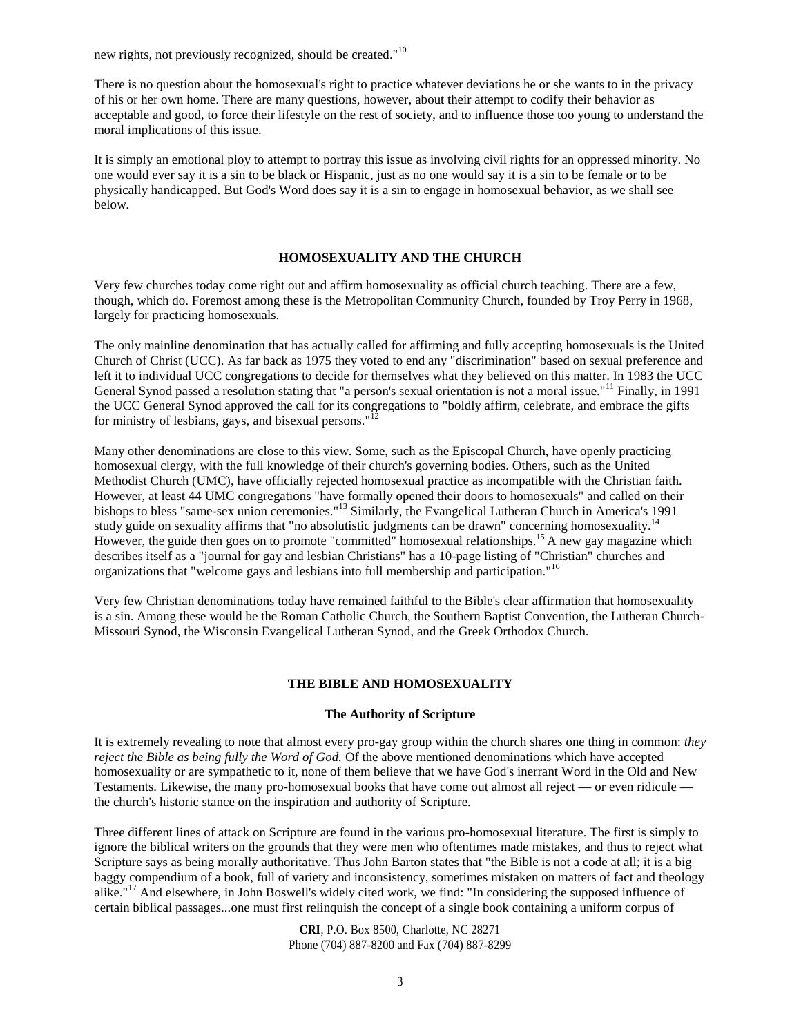new rights, not previously recognized, should be created."<sup>10</sup>

There is no question about the homosexual's right to practice whatever deviations he or she wants to in the privacy of his or her own home. There are many questions, however, about their attempt to codify their behavior as acceptable and good, to force their lifestyle on the rest of society, and to influence those too young to understand the moral implications of this issue.

It is simply an emotional ploy to attempt to portray this issue as involving civil rights for an oppressed minority. No one would ever say it is a sin to be black or Hispanic, just as no one would say it is a sin to be female or to be physically handicapped. But God's Word does say it is a sin to engage in homosexual behavior, as we shall see below.

# **HOMOSEXUALITY AND THE CHURCH**

Very few churches today come right out and affirm homosexuality as official church teaching. There are a few, though, which do. Foremost among these is the Metropolitan Community Church, founded by Troy Perry in 1968, largely for practicing homosexuals.

The only mainline denomination that has actually called for affirming and fully accepting homosexuals is the United Church of Christ (UCC). As far back as 1975 they voted to end any "discrimination" based on sexual preference and left it to individual UCC congregations to decide for themselves what they believed on this matter. In 1983 the UCC General Synod passed a resolution stating that "a person's sexual orientation is not a moral issue."<sup>11</sup> Finally, in 1991 the UCC General Synod approved the call for its congregations to "boldly affirm, celebrate, and embrace the gifts for ministry of lesbians, gays, and bisexual persons."<sup>12</sup>

Many other denominations are close to this view. Some, such as the Episcopal Church, have openly practicing homosexual clergy, with the full knowledge of their church's governing bodies. Others, such as the United Methodist Church (UMC), have officially rejected homosexual practice as incompatible with the Christian faith. However, at least 44 UMC congregations "have formally opened their doors to homosexuals" and called on their bishops to bless "same-sex union ceremonies."<sup>13</sup> Similarly, the Evangelical Lutheran Church in America's 1991 study guide on sexuality affirms that "no absolutistic judgments can be drawn" concerning homosexuality.<sup>14</sup> However, the guide then goes on to promote "committed" homosexual relationships.<sup>15</sup> A new gay magazine which describes itself as a "journal for gay and lesbian Christians" has a 10-page listing of "Christian" churches and organizations that "welcome gays and lesbians into full membership and participation."<sup>16</sup>

Very few Christian denominations today have remained faithful to the Bible's clear affirmation that homosexuality is a sin. Among these would be the Roman Catholic Church, the Southern Baptist Convention, the Lutheran Church-Missouri Synod, the Wisconsin Evangelical Lutheran Synod, and the Greek Orthodox Church.

## **THE BIBLE AND HOMOSEXUALITY**

#### **The Authority of Scripture**

It is extremely revealing to note that almost every pro-gay group within the church shares one thing in common: *they reject the Bible as being fully the Word of God.* Of the above mentioned denominations which have accepted homosexuality or are sympathetic to it, none of them believe that we have God's inerrant Word in the Old and New Testaments. Likewise, the many pro-homosexual books that have come out almost all reject — or even ridicule the church's historic stance on the inspiration and authority of Scripture.

Three different lines of attack on Scripture are found in the various pro-homosexual literature. The first is simply to ignore the biblical writers on the grounds that they were men who oftentimes made mistakes, and thus to reject what Scripture says as being morally authoritative. Thus John Barton states that "the Bible is not a code at all; it is a big baggy compendium of a book, full of variety and inconsistency, sometimes mistaken on matters of fact and theology alike."<sup>17</sup> And elsewhere, in John Boswell's widely cited work, we find: "In considering the supposed influence of certain biblical passages...one must first relinquish the concept of a single book containing a uniform corpus of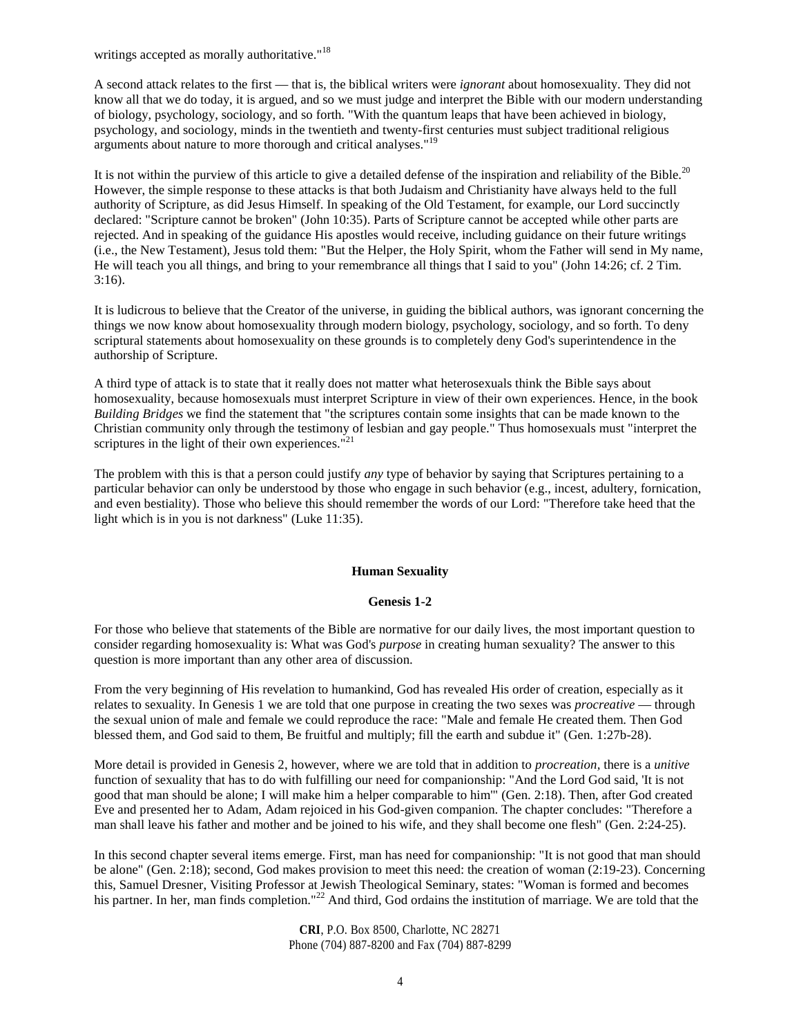writings accepted as morally authoritative."<sup>18</sup>

A second attack relates to the first — that is, the biblical writers were *ignorant* about homosexuality. They did not know all that we do today, it is argued, and so we must judge and interpret the Bible with our modern understanding of biology, psychology, sociology, and so forth. "With the quantum leaps that have been achieved in biology, psychology, and sociology, minds in the twentieth and twenty-first centuries must subject traditional religious arguments about nature to more thorough and critical analyses."<sup>19</sup>

It is not within the purview of this article to give a detailed defense of the inspiration and reliability of the Bible.<sup>20</sup> However, the simple response to these attacks is that both Judaism and Christianity have always held to the full authority of Scripture, as did Jesus Himself. In speaking of the Old Testament, for example, our Lord succinctly declared: "Scripture cannot be broken" (John 10:35). Parts of Scripture cannot be accepted while other parts are rejected. And in speaking of the guidance His apostles would receive, including guidance on their future writings (i.e., the New Testament), Jesus told them: "But the Helper, the Holy Spirit, whom the Father will send in My name, He will teach you all things, and bring to your remembrance all things that I said to you" (John 14:26; cf. 2 Tim. 3:16).

It is ludicrous to believe that the Creator of the universe, in guiding the biblical authors, was ignorant concerning the things we now know about homosexuality through modern biology, psychology, sociology, and so forth. To deny scriptural statements about homosexuality on these grounds is to completely deny God's superintendence in the authorship of Scripture.

A third type of attack is to state that it really does not matter what heterosexuals think the Bible says about homosexuality, because homosexuals must interpret Scripture in view of their own experiences. Hence, in the book *Building Bridges* we find the statement that "the scriptures contain some insights that can be made known to the Christian community only through the testimony of lesbian and gay people." Thus homosexuals must "interpret the scriptures in the light of their own experiences. $^{\cdot^{21}}$ 

The problem with this is that a person could justify *any* type of behavior by saying that Scriptures pertaining to a particular behavior can only be understood by those who engage in such behavior (e.g., incest, adultery, fornication, and even bestiality). Those who believe this should remember the words of our Lord: "Therefore take heed that the light which is in you is not darkness" (Luke 11:35).

#### **Human Sexuality**

#### **Genesis 1-2**

For those who believe that statements of the Bible are normative for our daily lives, the most important question to consider regarding homosexuality is: What was God's *purpose* in creating human sexuality? The answer to this question is more important than any other area of discussion.

From the very beginning of His revelation to humankind, God has revealed His order of creation, especially as it relates to sexuality. In Genesis 1 we are told that one purpose in creating the two sexes was *procreative* — through the sexual union of male and female we could reproduce the race: "Male and female He created them. Then God blessed them, and God said to them, Be fruitful and multiply; fill the earth and subdue it" (Gen. 1:27b-28).

More detail is provided in Genesis 2, however, where we are told that in addition to *procreation,* there is a *unitive* function of sexuality that has to do with fulfilling our need for companionship: "And the Lord God said, 'It is not good that man should be alone; I will make him a helper comparable to him'" (Gen. 2:18). Then, after God created Eve and presented her to Adam, Adam rejoiced in his God-given companion. The chapter concludes: "Therefore a man shall leave his father and mother and be joined to his wife, and they shall become one flesh" (Gen. 2:24-25).

In this second chapter several items emerge. First, man has need for companionship: "It is not good that man should be alone" (Gen. 2:18); second, God makes provision to meet this need: the creation of woman (2:19-23). Concerning this, Samuel Dresner, Visiting Professor at Jewish Theological Seminary, states: "Woman is formed and becomes his partner. In her, man finds completion."<sup>22</sup> And third, God ordains the institution of marriage. We are told that the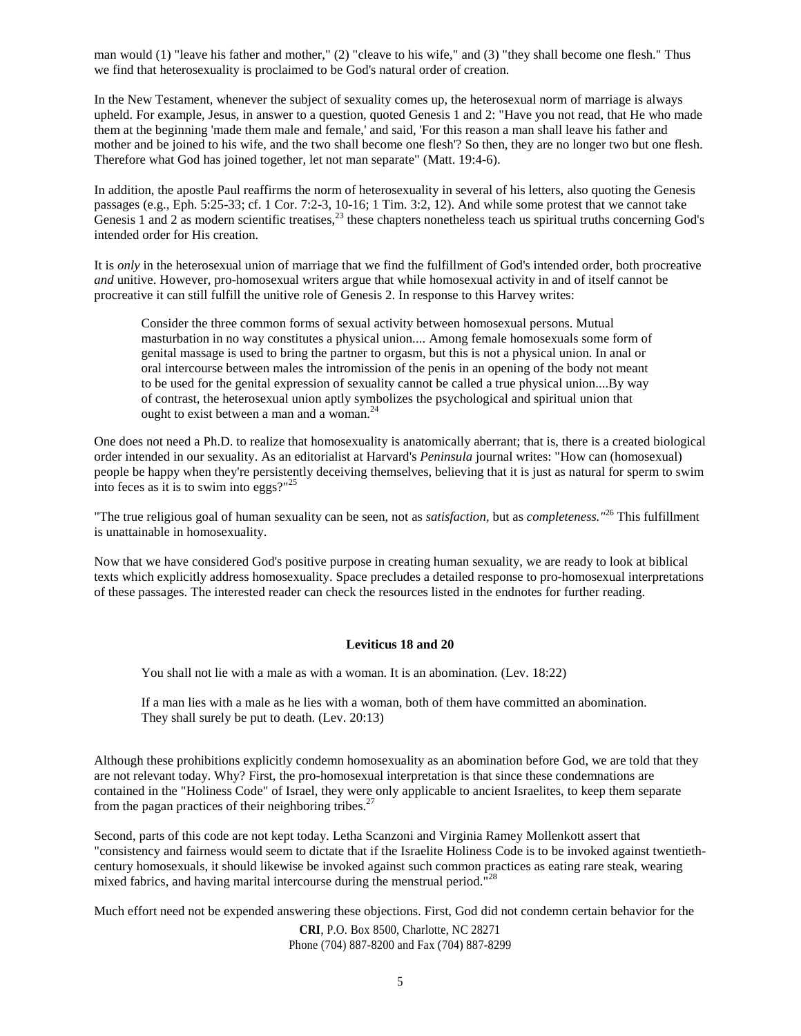man would (1) "leave his father and mother," (2) "cleave to his wife," and (3) "they shall become one flesh." Thus we find that heterosexuality is proclaimed to be God's natural order of creation.

In the New Testament, whenever the subject of sexuality comes up, the heterosexual norm of marriage is always upheld. For example, Jesus, in answer to a question, quoted Genesis 1 and 2: "Have you not read, that He who made them at the beginning 'made them male and female,' and said, 'For this reason a man shall leave his father and mother and be joined to his wife, and the two shall become one flesh'? So then, they are no longer two but one flesh. Therefore what God has joined together, let not man separate" (Matt. 19:4-6).

In addition, the apostle Paul reaffirms the norm of heterosexuality in several of his letters, also quoting the Genesis passages (e.g., Eph. 5:25-33; cf. 1 Cor. 7:2-3, 10-16; 1 Tim. 3:2, 12). And while some protest that we cannot take Genesis 1 and 2 as modern scientific treatises,  $^{23}$  these chapters nonetheless teach us spiritual truths concerning God's intended order for His creation.

It is *only* in the heterosexual union of marriage that we find the fulfillment of God's intended order, both procreative *and* unitive. However, pro-homosexual writers argue that while homosexual activity in and of itself cannot be procreative it can still fulfill the unitive role of Genesis 2. In response to this Harvey writes:

Consider the three common forms of sexual activity between homosexual persons. Mutual masturbation in no way constitutes a physical union.... Among female homosexuals some form of genital massage is used to bring the partner to orgasm, but this is not a physical union. In anal or oral intercourse between males the intromission of the penis in an opening of the body not meant to be used for the genital expression of sexuality cannot be called a true physical union....By way of contrast, the heterosexual union aptly symbolizes the psychological and spiritual union that ought to exist between a man and a woman.<sup>24</sup>

One does not need a Ph.D. to realize that homosexuality is anatomically aberrant; that is, there is a created biological order intended in our sexuality. As an editorialist at Harvard's *Peninsula* journal writes: "How can (homosexual) people be happy when they're persistently deceiving themselves, believing that it is just as natural for sperm to swim into feces as it is to swim into eggs?"<sup>25</sup>

"The true religious goal of human sexuality can be seen, not as *satisfaction,* but as *completeness."*<sup>26</sup> This fulfillment is unattainable in homosexuality.

Now that we have considered God's positive purpose in creating human sexuality, we are ready to look at biblical texts which explicitly address homosexuality. Space precludes a detailed response to pro-homosexual interpretations of these passages. The interested reader can check the resources listed in the endnotes for further reading.

## **Leviticus 18 and 20**

You shall not lie with a male as with a woman. It is an abomination. (Lev. 18:22)

If a man lies with a male as he lies with a woman, both of them have committed an abomination. They shall surely be put to death. (Lev. 20:13)

Although these prohibitions explicitly condemn homosexuality as an abomination before God, we are told that they are not relevant today. Why? First, the pro-homosexual interpretation is that since these condemnations are contained in the "Holiness Code" of Israel, they were only applicable to ancient Israelites, to keep them separate from the pagan practices of their neighboring tribes.<sup>27</sup>

Second, parts of this code are not kept today. Letha Scanzoni and Virginia Ramey Mollenkott assert that "consistency and fairness would seem to dictate that if the Israelite Holiness Code is to be invoked against twentiethcentury homosexuals, it should likewise be invoked against such common practices as eating rare steak, wearing mixed fabrics, and having marital intercourse during the menstrual period."<sup>28</sup>

**CRI**, P.O. Box 8500, Charlotte, NC 28271 Phone (704) 887-8200 and Fax (704) 887-8299 Much effort need not be expended answering these objections. First, God did not condemn certain behavior for the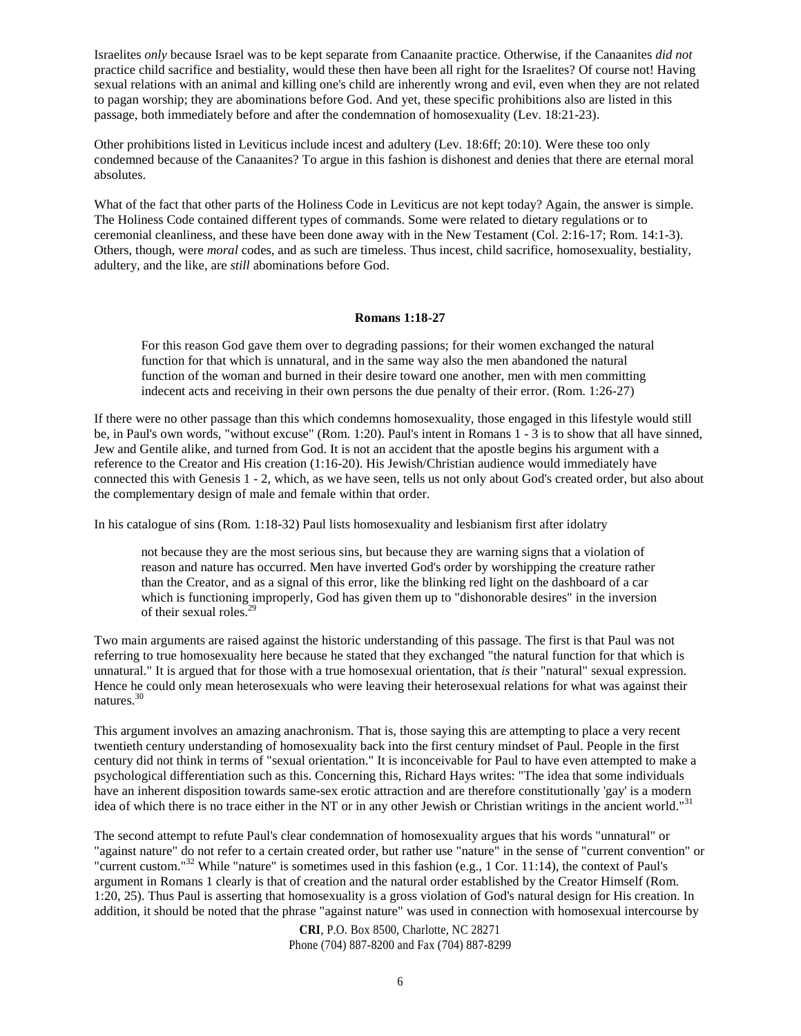Israelites *only* because Israel was to be kept separate from Canaanite practice. Otherwise, if the Canaanites *did not* practice child sacrifice and bestiality, would these then have been all right for the Israelites? Of course not! Having sexual relations with an animal and killing one's child are inherently wrong and evil, even when they are not related to pagan worship; they are abominations before God. And yet, these specific prohibitions also are listed in this passage, both immediately before and after the condemnation of homosexuality (Lev. 18:21-23).

Other prohibitions listed in Leviticus include incest and adultery (Lev. 18:6ff; 20:10). Were these too only condemned because of the Canaanites? To argue in this fashion is dishonest and denies that there are eternal moral absolutes.

What of the fact that other parts of the Holiness Code in Leviticus are not kept today? Again, the answer is simple. The Holiness Code contained different types of commands. Some were related to dietary regulations or to ceremonial cleanliness, and these have been done away with in the New Testament (Col. 2:16-17; Rom. 14:1-3). Others, though, were *moral* codes, and as such are timeless. Thus incest, child sacrifice, homosexuality, bestiality, adultery, and the like, are *still* abominations before God.

#### **Romans 1:18-27**

For this reason God gave them over to degrading passions; for their women exchanged the natural function for that which is unnatural, and in the same way also the men abandoned the natural function of the woman and burned in their desire toward one another, men with men committing indecent acts and receiving in their own persons the due penalty of their error. (Rom. 1:26-27)

If there were no other passage than this which condemns homosexuality, those engaged in this lifestyle would still be, in Paul's own words, "without excuse" (Rom. 1:20). Paul's intent in Romans 1 - 3 is to show that all have sinned, Jew and Gentile alike, and turned from God. It is not an accident that the apostle begins his argument with a reference to the Creator and His creation (1:16-20). His Jewish/Christian audience would immediately have connected this with Genesis 1 - 2, which, as we have seen, tells us not only about God's created order, but also about the complementary design of male and female within that order.

In his catalogue of sins (Rom. 1:18-32) Paul lists homosexuality and lesbianism first after idolatry

not because they are the most serious sins, but because they are warning signs that a violation of reason and nature has occurred. Men have inverted God's order by worshipping the creature rather than the Creator, and as a signal of this error, like the blinking red light on the dashboard of a car which is functioning improperly, God has given them up to "dishonorable desires" in the inversion of their sexual roles.<sup>29</sup>

Two main arguments are raised against the historic understanding of this passage. The first is that Paul was not referring to true homosexuality here because he stated that they exchanged "the natural function for that which is unnatural." It is argued that for those with a true homosexual orientation, that *is* their "natural" sexual expression. Hence he could only mean heterosexuals who were leaving their heterosexual relations for what was against their natures.<sup>30</sup>

This argument involves an amazing anachronism. That is, those saying this are attempting to place a very recent twentieth century understanding of homosexuality back into the first century mindset of Paul. People in the first century did not think in terms of "sexual orientation." It is inconceivable for Paul to have even attempted to make a psychological differentiation such as this. Concerning this, Richard Hays writes: "The idea that some individuals have an inherent disposition towards same-sex erotic attraction and are therefore constitutionally 'gay' is a modern idea of which there is no trace either in the NT or in any other Jewish or Christian writings in the ancient world."<sup>31</sup>

The second attempt to refute Paul's clear condemnation of homosexuality argues that his words "unnatural" or "against nature" do not refer to a certain created order, but rather use "nature" in the sense of "current convention" or "current custom."<sup>32</sup> While "nature" is sometimes used in this fashion (e.g., 1 Cor. 11:14), the context of Paul's argument in Romans 1 clearly is that of creation and the natural order established by the Creator Himself (Rom. 1:20, 25). Thus Paul is asserting that homosexuality is a gross violation of God's natural design for His creation. In addition, it should be noted that the phrase "against nature" was used in connection with homosexual intercourse by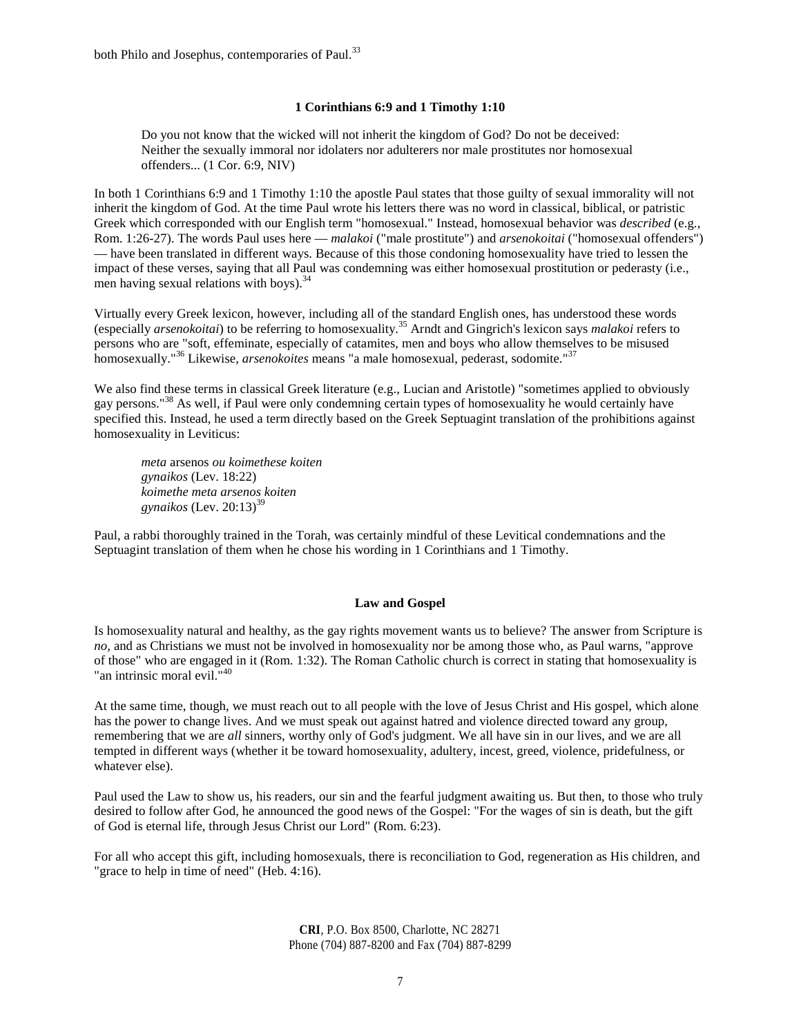# **1 Corinthians 6:9 and 1 Timothy 1:10**

Do you not know that the wicked will not inherit the kingdom of God? Do not be deceived: Neither the sexually immoral nor idolaters nor adulterers nor male prostitutes nor homosexual offenders... (1 Cor. 6:9, NIV)

In both 1 Corinthians 6:9 and 1 Timothy 1:10 the apostle Paul states that those guilty of sexual immorality will not inherit the kingdom of God. At the time Paul wrote his letters there was no word in classical, biblical, or patristic Greek which corresponded with our English term "homosexual." Instead, homosexual behavior was *described* (e.g., Rom. 1:26-27). The words Paul uses here — *malakoi* ("male prostitute") and *arsenokoitai* ("homosexual offenders") — have been translated in different ways. Because of this those condoning homosexuality have tried to lessen the impact of these verses, saying that all Paul was condemning was either homosexual prostitution or pederasty (i.e., men having sexual relations with boys).<sup>34</sup>

Virtually every Greek lexicon, however, including all of the standard English ones, has understood these words (especially *arsenokoitai*) to be referring to homosexuality.<sup>35</sup> Arndt and Gingrich's lexicon says *malakoi* refers to persons who are "soft, effeminate, especially of catamites, men and boys who allow themselves to be misused homosexually."<sup>36</sup> Likewise, *arsenokoites* means "a male homosexual, pederast, sodomite."<sup>37</sup>

We also find these terms in classical Greek literature (e.g., Lucian and Aristotle) "sometimes applied to obviously gay persons."<sup>38</sup> As well, if Paul were only condemning certain types of homosexuality he would certainly have specified this. Instead, he used a term directly based on the Greek Septuagint translation of the prohibitions against homosexuality in Leviticus:

*meta* arsenos *ou koimethese koiten gynaikos* (Lev. 18:22) *koimethe meta arsenos koiten gynaikos* (Lev. 20:13)<sup>39</sup>

Paul, a rabbi thoroughly trained in the Torah, was certainly mindful of these Levitical condemnations and the Septuagint translation of them when he chose his wording in 1 Corinthians and 1 Timothy.

# **Law and Gospel**

Is homosexuality natural and healthy, as the gay rights movement wants us to believe? The answer from Scripture is *no,* and as Christians we must not be involved in homosexuality nor be among those who, as Paul warns, "approve of those" who are engaged in it (Rom. 1:32). The Roman Catholic church is correct in stating that homosexuality is "an intrinsic moral evil."<sup>40</sup>

At the same time, though, we must reach out to all people with the love of Jesus Christ and His gospel, which alone has the power to change lives. And we must speak out against hatred and violence directed toward any group, remembering that we are *all* sinners, worthy only of God's judgment. We all have sin in our lives, and we are all tempted in different ways (whether it be toward homosexuality, adultery, incest, greed, violence, pridefulness, or whatever else).

Paul used the Law to show us, his readers, our sin and the fearful judgment awaiting us. But then, to those who truly desired to follow after God, he announced the good news of the Gospel: "For the wages of sin is death, but the gift of God is eternal life, through Jesus Christ our Lord" (Rom. 6:23).

For all who accept this gift, including homosexuals, there is reconciliation to God, regeneration as His children, and "grace to help in time of need" (Heb. 4:16).